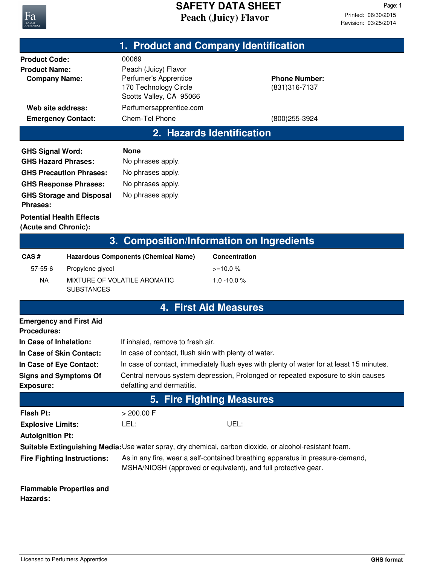

# **Peach (Juicy) Flavor SAFETY DATA SHEET**

| 1. Product and Company Identification                                                                   |                                 |                                                                                                                                                 |                              |                                        |  |  |  |
|---------------------------------------------------------------------------------------------------------|---------------------------------|-------------------------------------------------------------------------------------------------------------------------------------------------|------------------------------|----------------------------------------|--|--|--|
| <b>Product Code:</b>                                                                                    |                                 | 00069                                                                                                                                           |                              |                                        |  |  |  |
| <b>Product Name:</b><br><b>Company Name:</b>                                                            |                                 | Peach (Juicy) Flavor<br>Perfumer's Apprentice<br>170 Technology Circle<br>Scotts Valley, CA 95066                                               |                              | <b>Phone Number:</b><br>(831) 316-7137 |  |  |  |
| Web site address:                                                                                       |                                 | Perfumersapprentice.com                                                                                                                         |                              |                                        |  |  |  |
| <b>Emergency Contact:</b>                                                                               |                                 | Chem-Tel Phone                                                                                                                                  |                              | (800) 255-3924                         |  |  |  |
| 2. Hazards Identification                                                                               |                                 |                                                                                                                                                 |                              |                                        |  |  |  |
| <b>GHS Signal Word:</b>                                                                                 |                                 | <b>None</b>                                                                                                                                     |                              |                                        |  |  |  |
| <b>GHS Hazard Phrases:</b>                                                                              |                                 | No phrases apply.                                                                                                                               |                              |                                        |  |  |  |
|                                                                                                         | <b>GHS Precaution Phrases:</b>  | No phrases apply.                                                                                                                               |                              |                                        |  |  |  |
| <b>GHS Response Phrases:</b>                                                                            |                                 | No phrases apply.                                                                                                                               |                              |                                        |  |  |  |
| <b>GHS Storage and Disposal</b><br><b>Phrases:</b>                                                      |                                 | No phrases apply.                                                                                                                               |                              |                                        |  |  |  |
| <b>Potential Health Effects</b><br>(Acute and Chronic):                                                 |                                 |                                                                                                                                                 |                              |                                        |  |  |  |
| <b>Composition/Information on Ingredients</b><br>3.                                                     |                                 |                                                                                                                                                 |                              |                                        |  |  |  |
| CAS#                                                                                                    |                                 | <b>Hazardous Components (Chemical Name)</b>                                                                                                     | <b>Concentration</b>         |                                        |  |  |  |
| 57-55-6                                                                                                 | Propylene glycol                |                                                                                                                                                 | $>=10.0%$                    |                                        |  |  |  |
| <b>NA</b>                                                                                               | <b>SUBSTANCES</b>               | MIXTURE OF VOLATILE AROMATIC                                                                                                                    | $1.0 - 10.0 %$               |                                        |  |  |  |
|                                                                                                         |                                 |                                                                                                                                                 | <b>4. First Aid Measures</b> |                                        |  |  |  |
| <b>Emergency and First Aid</b><br><b>Procedures:</b>                                                    |                                 |                                                                                                                                                 |                              |                                        |  |  |  |
| In Case of Inhalation:                                                                                  |                                 | If inhaled, remove to fresh air.                                                                                                                |                              |                                        |  |  |  |
| In Case of Skin Contact:                                                                                |                                 | In case of contact, flush skin with plenty of water.                                                                                            |                              |                                        |  |  |  |
| In Case of Eye Contact:                                                                                 |                                 | In case of contact, immediately flush eyes with plenty of water for at least 15 minutes.                                                        |                              |                                        |  |  |  |
| <b>Signs and Symptoms Of</b><br><b>Exposure:</b>                                                        |                                 | Central nervous system depression, Prolonged or repeated exposure to skin causes<br>defatting and dermatitis.                                   |                              |                                        |  |  |  |
| <b>Fire Fighting Measures</b><br>5.                                                                     |                                 |                                                                                                                                                 |                              |                                        |  |  |  |
| <b>Flash Pt:</b>                                                                                        |                                 | $> 200.00$ F                                                                                                                                    |                              |                                        |  |  |  |
| <b>Explosive Limits:</b>                                                                                |                                 | LEL:                                                                                                                                            | UEL:                         |                                        |  |  |  |
| <b>Autoignition Pt:</b>                                                                                 |                                 |                                                                                                                                                 |                              |                                        |  |  |  |
| Suitable Extinguishing Media: Use water spray, dry chemical, carbon dioxide, or alcohol-resistant foam. |                                 |                                                                                                                                                 |                              |                                        |  |  |  |
| <b>Fire Fighting Instructions:</b>                                                                      |                                 | As in any fire, wear a self-contained breathing apparatus in pressure-demand,<br>MSHA/NIOSH (approved or equivalent), and full protective gear. |                              |                                        |  |  |  |
| Hazards:                                                                                                | <b>Flammable Properties and</b> |                                                                                                                                                 |                              |                                        |  |  |  |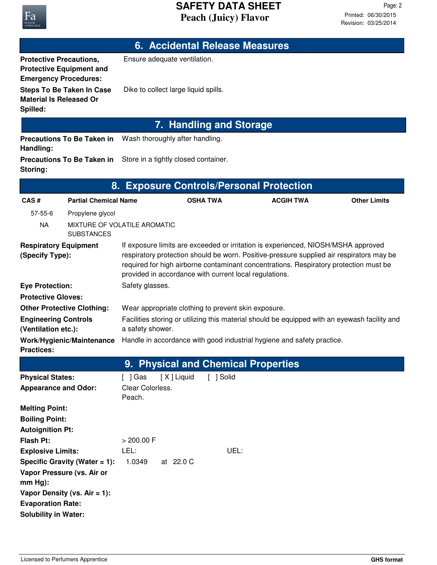### **Peach (Juicy) Flavor SAFETY DATA SHEET**

**6. Accidental Release Measures**

**Protective Equipment and**

**Protective Precautions,** Ensure adequate ventilation.

### **Steps To Be Taken In Case** Dike to collect large liquid spills. **Material Is Released Or Spilled: Emergency Procedures: 7. Handling and Storage Precautions To Be Taken in** Wash thoroughly after handling. **Handling: Precautions To Be Taken in** Store in a tightly closed container. **Storing: 8. Exposure Controls/Personal Protection CAS # Partial Chemical Name OSHA TWA ACGIH TWA Other Limits** 57-55-6 Propylene glycol NA MIXTURE OF VOLATILE AROMATIC **SUBSTANCES** If exposure limits are exceeded or irritation is experienced, NIOSH/MSHA approved respiratory protection should be worn. Positive-pressure supplied air respirators may be required for high airborne contaminant concentrations. Respiratory protection must be provided in accordance with current local regulations. **Respiratory Equipment (Specify Type): Eye Protection:** Safety glasses. **Protective Gloves: Other Protective Clothing:** Wear appropriate clothing to prevent skin exposure. Facilities storing or utilizing this material should be equipped with an eyewash facility and a safety shower. **Engineering Controls (Ventilation etc.): Work/Hygienic/Maintenance** Handle in accordance with good industrial hygiene and safety practice. **Practices: 9. Physical and Chemical Properties Physical States:** [ ] Gas [ X ] Liquid [ ] Solid **Melting Point: Boiling Point: Autoignition Pt: Flash Pt:** > 200.00 F **Explosive Limits:** LEL: UEL: **Specific Gravity (Water = 1):** 1.0349 at 22.0 C Clear Colorless. Peach. **Appearance and Odor:**

**Vapor Pressure (vs. Air or**

**Vapor Density (vs. Air = 1):**

**Evaporation Rate: Solubility in Water:**

**mm Hg):**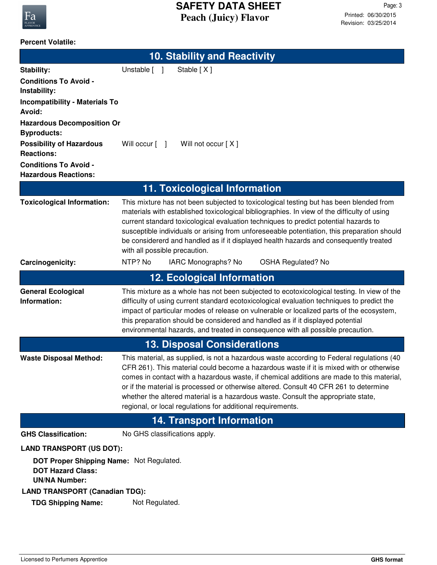

#### **Percent Volatile:**

| <b>10. Stability and Reactivity</b>                                                                                             |                                                                                                                                                                                                                                                                                                                                                                                                                                                                                                                                |  |  |  |  |
|---------------------------------------------------------------------------------------------------------------------------------|--------------------------------------------------------------------------------------------------------------------------------------------------------------------------------------------------------------------------------------------------------------------------------------------------------------------------------------------------------------------------------------------------------------------------------------------------------------------------------------------------------------------------------|--|--|--|--|
| <b>Stability:</b>                                                                                                               | Stable [X]<br>Unstable [ ]                                                                                                                                                                                                                                                                                                                                                                                                                                                                                                     |  |  |  |  |
| <b>Conditions To Avoid -</b><br>Instability:                                                                                    |                                                                                                                                                                                                                                                                                                                                                                                                                                                                                                                                |  |  |  |  |
| <b>Incompatibility - Materials To</b><br>Avoid:                                                                                 |                                                                                                                                                                                                                                                                                                                                                                                                                                                                                                                                |  |  |  |  |
| <b>Hazardous Decomposition Or</b><br><b>Byproducts:</b>                                                                         |                                                                                                                                                                                                                                                                                                                                                                                                                                                                                                                                |  |  |  |  |
| <b>Possibility of Hazardous</b><br><b>Reactions:</b>                                                                            | Will not occur [X]<br>Will occur [ ]                                                                                                                                                                                                                                                                                                                                                                                                                                                                                           |  |  |  |  |
| <b>Conditions To Avoid -</b><br><b>Hazardous Reactions:</b>                                                                     |                                                                                                                                                                                                                                                                                                                                                                                                                                                                                                                                |  |  |  |  |
|                                                                                                                                 | 11. Toxicological Information                                                                                                                                                                                                                                                                                                                                                                                                                                                                                                  |  |  |  |  |
| <b>Toxicological Information:</b>                                                                                               | This mixture has not been subjected to toxicological testing but has been blended from<br>materials with established toxicological bibliographies. In view of the difficulty of using<br>current standard toxicological evaluation techniques to predict potential hazards to<br>susceptible individuals or arising from unforeseeable potentiation, this preparation should<br>be considererd and handled as if it displayed health hazards and consequently treated<br>with all possible precaution.                         |  |  |  |  |
| Carcinogenicity:                                                                                                                | NTP? No<br>IARC Monographs? No<br><b>OSHA Regulated? No</b>                                                                                                                                                                                                                                                                                                                                                                                                                                                                    |  |  |  |  |
|                                                                                                                                 | <b>12. Ecological Information</b>                                                                                                                                                                                                                                                                                                                                                                                                                                                                                              |  |  |  |  |
| <b>General Ecological</b><br>Information:                                                                                       | This mixture as a whole has not been subjected to ecotoxicological testing. In view of the<br>difficulty of using current standard ecotoxicological evaluation techniques to predict the<br>impact of particular modes of release on vulnerable or localized parts of the ecosystem,<br>this preparation should be considered and handled as if it displayed potential<br>environmental hazards, and treated in consequence with all possible precaution.                                                                      |  |  |  |  |
| <b>13. Disposal Considerations</b>                                                                                              |                                                                                                                                                                                                                                                                                                                                                                                                                                                                                                                                |  |  |  |  |
| <b>Waste Disposal Method:</b>                                                                                                   | This material, as supplied, is not a hazardous waste according to Federal regulations (40<br>CFR 261). This material could become a hazardous waste if it is mixed with or otherwise<br>comes in contact with a hazardous waste, if chemical additions are made to this material,<br>or if the material is processed or otherwise altered. Consult 40 CFR 261 to determine<br>whether the altered material is a hazardous waste. Consult the appropriate state,<br>regional, or local regulations for additional requirements. |  |  |  |  |
| <b>14. Transport Information</b>                                                                                                |                                                                                                                                                                                                                                                                                                                                                                                                                                                                                                                                |  |  |  |  |
| <b>GHS Classification:</b>                                                                                                      | No GHS classifications apply.                                                                                                                                                                                                                                                                                                                                                                                                                                                                                                  |  |  |  |  |
| <b>LAND TRANSPORT (US DOT):</b><br>DOT Proper Shipping Name: Not Regulated.<br><b>DOT Hazard Class:</b><br><b>UN/NA Number:</b> |                                                                                                                                                                                                                                                                                                                                                                                                                                                                                                                                |  |  |  |  |
| <b>LAND TRANSPORT (Canadian TDG):</b><br><b>TDG Shipping Name:</b>                                                              | Not Regulated.                                                                                                                                                                                                                                                                                                                                                                                                                                                                                                                 |  |  |  |  |